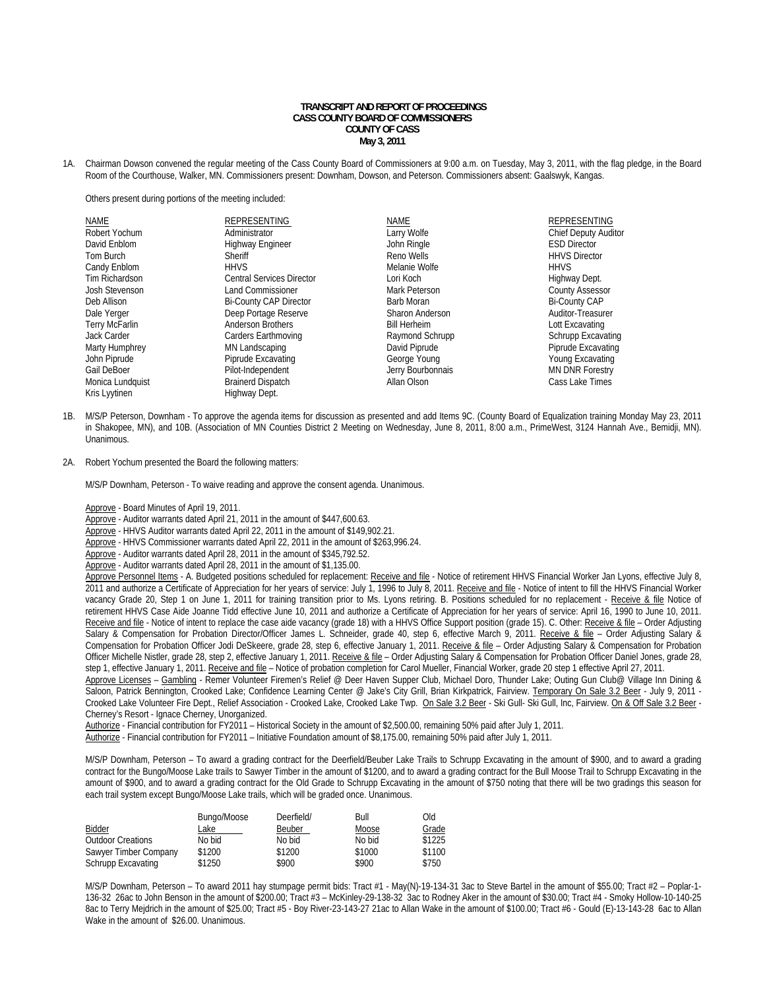### **TRANSCRIPT AND REPORT OF PROCEEDINGS CASS COUNTY BOARD OF COMMISSIONERS COUNTY OF CASS May 3, 2011**

1A. Chairman Dowson convened the regular meeting of the Cass County Board of Commissioners at 9:00 a.m. on Tuesday, May 3, 2011, with the flag pledge, in the Board Room of the Courthouse, Walker, MN. Commissioners present: Downham, Dowson, and Peterson. Commissioners absent: Gaalswyk, Kangas.

Others present during portions of the meeting included:

| <b>NAME</b><br>Robert Yochum<br>David Enblom<br>Tom Burch<br>Candy Enblom<br>Tim Richardson<br>Josh Stevenson<br>Deb Allison<br>Dale Yerger<br>Terry McFarlin<br>Jack Carder<br>Marty Humphrey<br>John Piprude<br>Gail DeBoer<br>Monica Lundquist | REPRESENTING<br>Administrator<br><b>Highway Engineer</b><br>Sheriff<br><b>HHVS</b><br><b>Central Services Director</b><br><b>Land Commissioner</b><br><b>Bi-County CAP Director</b><br>Deep Portage Reserve<br><b>Anderson Brothers</b><br>Carders Earthmoving<br>MN Landscaping<br>Piprude Excavating<br>Pilot-Independent<br><b>Brainerd Dispatch</b> | <b>NAME</b><br>Larry Wolfe<br>John Ringle<br>Reno Wells<br>Melanie Wolfe<br>Lori Koch<br>Mark Peterson<br>Barb Moran<br>Sharon Anderson<br><b>Bill Herheim</b><br>Raymond Schrupp<br>David Piprude<br>George Young<br>Jerry Bourbonnais<br>Allan Olson | <b>REPRESENTING</b><br><b>Chief Deputy Auditor</b><br><b>ESD Director</b><br><b>HHVS Director</b><br><b>HHVS</b><br>Highway Dept.<br><b>County Assessor</b><br><b>Bi-County CAP</b><br>Auditor-Treasurer<br>Lott Excavating<br>Schrupp Excavating<br>Piprude Excavating<br>Young Excavating<br><b>MN DNR Forestry</b><br>Cass Lake Times |
|---------------------------------------------------------------------------------------------------------------------------------------------------------------------------------------------------------------------------------------------------|---------------------------------------------------------------------------------------------------------------------------------------------------------------------------------------------------------------------------------------------------------------------------------------------------------------------------------------------------------|--------------------------------------------------------------------------------------------------------------------------------------------------------------------------------------------------------------------------------------------------------|------------------------------------------------------------------------------------------------------------------------------------------------------------------------------------------------------------------------------------------------------------------------------------------------------------------------------------------|
|                                                                                                                                                                                                                                                   |                                                                                                                                                                                                                                                                                                                                                         |                                                                                                                                                                                                                                                        |                                                                                                                                                                                                                                                                                                                                          |
| Kris Lyytinen                                                                                                                                                                                                                                     | Highway Dept.                                                                                                                                                                                                                                                                                                                                           |                                                                                                                                                                                                                                                        |                                                                                                                                                                                                                                                                                                                                          |

- 1B. M/S/P Peterson, Downham To approve the agenda items for discussion as presented and add Items 9C. (County Board of Equalization training Monday May 23, 2011 in Shakopee, MN), and 10B. (Association of MN Counties District 2 Meeting on Wednesday, June 8, 2011, 8:00 a.m., PrimeWest, 3124 Hannah Ave., Bemidji, MN). Unanimous.
- 2A. Robert Yochum presented the Board the following matters:

M/S/P Downham, Peterson - To waive reading and approve the consent agenda. Unanimous.

Approve - Board Minutes of April 19, 2011.

Approve - Auditor warrants dated April 21, 2011 in the amount of \$447,600.63.

Approve - HHVS Auditor warrants dated April 22, 2011 in the amount of \$149,902.21.

Approve - HHVS Commissioner warrants dated April 22, 2011 in the amount of \$263,996.24.

Approve - Auditor warrants dated April 28, 2011 in the amount of \$345,792.52.

Approve - Auditor warrants dated April 28, 2011 in the amount of \$1,135.00.

Approve Personnel Items - A. Budgeted positions scheduled for replacement: Receive and file - Notice of retirement HHVS Financial Worker Jan Lyons, effective July 8, 2011 and authorize a Certificate of Appreciation for her years of service: July 1, 1996 to July 8, 2011. Receive and file - Notice of intent to fill the HHVS Financial Worker vacancy Grade 20, Step 1 on June 1, 2011 for training transition prior to Ms. Lyons retiring. B. Positions scheduled for no replacement - Receive & file Notice of retirement HHVS Case Aide Joanne Tidd effective June 10, 2011 and authorize a Certificate of Appreciation for her years of service: April 16, 1990 to June 10, 2011. Receive and file - Notice of intent to replace the case aide vacancy (grade 18) with a HHVS Office Support position (grade 15). C. Other: Receive & file - Order Adjusting Salary & Compensation for Probation Director/Officer James L. Schneider, grade 40, step 6, effective March 9, 2011. Receive & file - Order Adjusting Salary & Compensation for Probation Officer Jodi DeSkeere, grade 28, step 6, effective January 1, 2011. Receive & file - Order Adjusting Salary & Compensation for Probation Officer Michelle Nistler, grade 28, step 2, effective January 1, 2011. Receive & file - Order Adjusting Salary & Compensation for Probation Officer Daniel Jones, grade 28, step 1, effective January 1, 2011. Receive and file - Notice of probation completion for Carol Mueller, Financial Worker, grade 20 step 1 effective April 27, 2011.

Approve Licenses – Gambling - Remer Volunteer Firemen's Relief @ Deer Haven Supper Club, Michael Doro, Thunder Lake; Outing Gun Club@ Village Inn Dining & Saloon, Patrick Bennington, Crooked Lake; Confidence Learning Center @ Jake's City Grill, Brian Kirkpatrick, Fairview. Temporary On Sale 3.2 Beer - July 9, 2011 -Crooked Lake Volunteer Fire Dept., Relief Association - Crooked Lake, Crooked Lake Twp. On Sale 3.2 Beer - Ski Gull- Ski Gull, Inc, Fairview. On & Off Sale 3.2 Beer - Cherney's Resort - Ignace Cherney, Unorganized.

Authorize - Financial contribution for FY2011 – Historical Society in the amount of \$2,500.00, remaining 50% paid after July 1, 2011.

Authorize - Financial contribution for FY2011 – Initiative Foundation amount of \$8,175.00, remaining 50% paid after July 1, 2011.

 M/S/P Downham, Peterson – To award a grading contract for the Deerfield/Beuber Lake Trails to Schrupp Excavating in the amount of \$900, and to award a grading contract for the Bungo/Moose Lake trails to Sawyer Timber in the amount of \$1200, and to award a grading contract for the Bull Moose Trail to Schrupp Excavating in the amount of \$900, and to award a grading contract for the Old Grade to Schrupp Excavating in the amount of \$750 noting that there will be two gradings this season for each trail system except Bungo/Moose Lake trails, which will be graded once. Unanimous.

| Bidder<br><b>Outdoor Creations</b> | Bungo/Moose<br>_ake<br>No bid | Deerfield/<br>Beuber<br>No bid | Bull<br>Moose<br>No bid | <b>Old</b><br>Grade<br>\$1225 |
|------------------------------------|-------------------------------|--------------------------------|-------------------------|-------------------------------|
| Sawyer Timber Company              | \$1200                        | \$1200                         | \$1000                  | \$1100                        |
| <b>Schrupp Excavating</b>          | \$1250                        | \$900                          | \$900                   | \$750                         |

M/S/P Downham, Peterson – To award 2011 hay stumpage permit bids: Tract #1 - May(N)-19-134-31 3ac to Steve Bartel in the amount of \$55.00; Tract #2 – Poplar-1- 136-32 26ac to John Benson in the amount of \$200.00; Tract #3 – McKinley-29-138-32 3ac to Rodney Aker in the amount of \$30.00; Tract #4 - Smoky Hollow-10-140-25 8ac to Terry Mejdrich in the amount of \$25.00; Tract #5 - Boy River-23-143-27 21ac to Allan Wake in the amount of \$100.00; Tract #6 - Gould (E)-13-143-28 6ac to Allan Wake in the amount of \$26.00. Unanimous.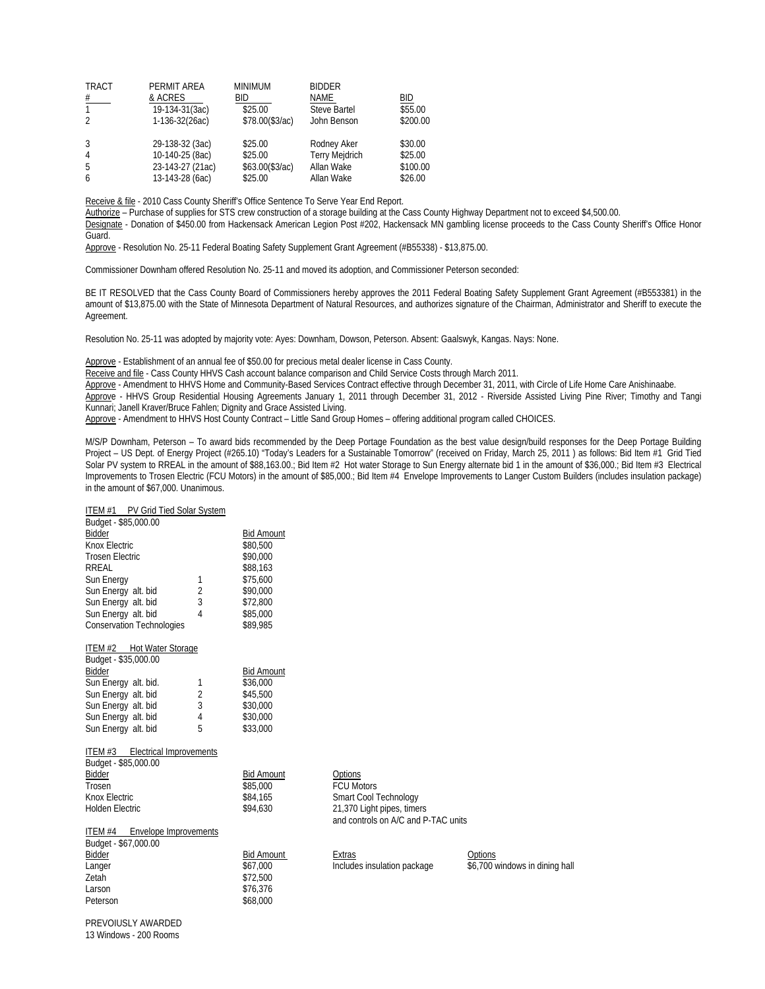| <b>TRACT</b>   | PERMIT AREA      | <b>MINIMUM</b>   | <b>BIDDER</b>         |          |
|----------------|------------------|------------------|-----------------------|----------|
| #              | & ACRES          | BID              | <b>NAME</b>           | BID      |
| 1.             | 19-134-31(3ac)   | \$25.00          | Steve Bartel          | \$55.00  |
| $\mathfrak{D}$ | 1-136-32(26ac)   | \$78.00(\$3/ac)  | John Benson           | \$200.00 |
| 3              | 29-138-32 (3ac)  | \$25.00          | Rodney Aker           | \$30.00  |
| 4              | 10-140-25 (8ac)  | \$25.00          | <b>Terry Mejdrich</b> | \$25.00  |
|                |                  |                  |                       |          |
| 5              | 23-143-27 (21ac) | \$63.00 (\$3/ac) | Allan Wake            | \$100.00 |
| 6              | 13-143-28 (6ac)  | \$25.00          | Allan Wake            | \$26.00  |

Receive & file - 2010 Cass County Sheriff's Office Sentence To Serve Year End Report.

Authorize – Purchase of supplies for STS crew construction of a storage building at the Cass County Highway Department not to exceed \$4,500.00.

 Designate - Donation of \$450.00 from Hackensack American Legion Post #202, Hackensack MN gambling license proceeds to the Cass County Sheriff's Office Honor Guard.

Approve - Resolution No. 25-11 Federal Boating Safety Supplement Grant Agreement (#B55338) - \$13,875.00.

Commissioner Downham offered Resolution No. 25-11 and moved its adoption, and Commissioner Peterson seconded:

BE IT RESOLVED that the Cass County Board of Commissioners hereby approves the 2011 Federal Boating Safety Supplement Grant Agreement (#B553381) in the amount of \$13,875.00 with the State of Minnesota Department of Natural Resources, and authorizes signature of the Chairman, Administrator and Sheriff to execute the Agreement.

Resolution No. 25-11 was adopted by majority vote: Ayes: Downham, Dowson, Peterson. Absent: Gaalswyk, Kangas. Nays: None.

Approve - Establishment of an annual fee of \$50.00 for precious metal dealer license in Cass County.

Receive and file - Cass County HHVS Cash account balance comparison and Child Service Costs through March 2011.

Approve - Amendment to HHVS Home and Community-Based Services Contract effective through December 31, 2011, with Circle of Life Home Care Anishinaabe.

Approve - HHVS Group Residential Housing Agreements January 1, 2011 through December 31, 2012 - Riverside Assisted Living Pine River; Timothy and Tangi Kunnari; Janell Kraver/Bruce Fahlen; Dignity and Grace Assisted Living.

Approve - Amendment to HHVS Host County Contract – Little Sand Group Homes – offering additional program called CHOICES.

M/S/P Downham, Peterson – To award bids recommended by the Deep Portage Foundation as the best value design/build responses for the Deep Portage Building Project – US Dept. of Energy Project (#265.10) "Today's Leaders for a Sustainable Tomorrow" (received on Friday, March 25, 2011 ) as follows: Bid Item #1 Grid Tied Solar PV system to RREAL in the amount of \$88,163.00.; Bid Item #2 Hot water Storage to Sun Energy alternate bid 1 in the amount of \$36,000.; Bid Item #3 Electrical Improvements to Trosen Electric (FCU Motors) in the amount of \$85,000.; Bid Item #4 Envelope Improvements to Langer Custom Builders (includes insulation package) in the amount of \$67,000. Unanimous.

| ITEM #1 PV Grid Tied Solar System |          |                   |
|-----------------------------------|----------|-------------------|
| Budget - \$85,000.00              |          |                   |
| Bidder                            |          | <b>Bid Amount</b> |
| Knox Electric                     |          | \$80,500          |
| <b>Trosen Electric</b>            |          | \$90,000          |
| RREAL                             |          | \$88,163          |
| Sun Energy                        | 1        | \$75.600          |
| Sun Energy alt. bid               | 2        | \$90,000          |
| Sun Energy alt. bid               | 3        | \$72,800          |
| Sun Energy alt. bid               | 4        | \$85,000          |
| <b>Conservation Technologies</b>  | \$89.985 |                   |

| ITEM #2 Hot Water Storage |                |                   |
|---------------------------|----------------|-------------------|
| Budget - \$35,000.00      |                |                   |
| Bidder                    |                | <b>Bid Amount</b> |
| Sun Energy alt. bid.      | 1              | \$36,000          |
| Sun Energy alt. bid       | $\overline{2}$ | \$45.500          |
| Sun Energy alt. bid       | 3              | \$30,000          |
| Sun Energy alt. bid       | 4              | \$30,000          |
| Sun Energy alt. bid       | 5              | \$33,000          |
|                           |                |                   |

|                        | ITEM #3 Electrical Improvements |               |
|------------------------|---------------------------------|---------------|
|                        | Budget - \$85,000.00            |               |
| Bidder                 |                                 | <b>Bid Am</b> |
| Trosen                 |                                 | \$85,000      |
| Knox Electric          |                                 | \$84,16       |
| <b>Holden Electric</b> |                                 | \$94.63       |

| ITEM #4              | Envelope Improvements |                |
|----------------------|-----------------------|----------------|
| Budget - \$67,000.00 |                       |                |
| Bidder               |                       | <b>Bid Amo</b> |
| Langer               |                       | \$67.000       |
| Zetah                |                       | \$72,500       |
| Larson               |                       | \$76.376       |
| Peterson             |                       | \$68,000       |

ount Options 0 FCU Motors Smart Cool Technology 0 21,370 Light pipes, timers and controls on A/C and P-TAC units

<u>Gid Amount</u><br>
Extras<br>
Bidder Bincludes insulation package 56,700 v<br>
Solomon Bincludes insulation package

 $$6,700$  windows in dining hall

PREVOIUSLY AWARDED 13 Windows - 200 Rooms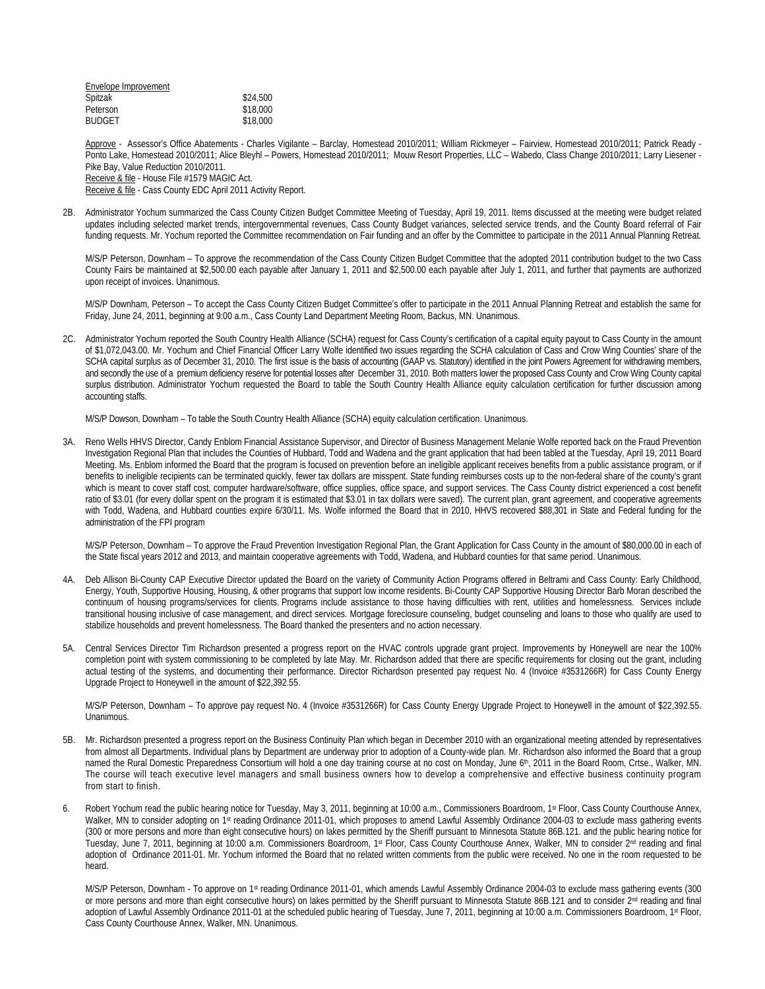| \$24,500 |
|----------|
| \$18,000 |
| \$18,000 |
|          |

 Approve - Assessor's Office Abatements - Charles Vigilante – Barclay, Homestead 2010/2011; William Rickmeyer – Fairview, Homestead 2010/2011; Patrick Ready - Ponto Lake, Homestead 2010/2011; Alice Bleyhl – Powers, Homestead 2010/2011; Mouw Resort Properties, LLC – Wabedo, Class Change 2010/2011; Larry Liesener -Pike Bay, Value Reduction 2010/2011. Receive & file - House File #1579 MAGIC Act.

Receive & file - Cass County EDC April 2011 Activity Report.

2B. Administrator Yochum summarized the Cass County Citizen Budget Committee Meeting of Tuesday, April 19, 2011. Items discussed at the meeting were budget related updates including selected market trends, intergovernmental revenues, Cass County Budget variances, selected service trends, and the County Board referral of Fair funding requests. Mr. Yochum reported the Committee recommendation on Fair funding and an offer by the Committee to participate in the 2011 Annual Planning Retreat.

M/S/P Peterson, Downham – To approve the recommendation of the Cass County Citizen Budget Committee that the adopted 2011 contribution budget to the two Cass County Fairs be maintained at \$2,500.00 each payable after January 1, 2011 and \$2,500.00 each payable after July 1, 2011, and further that payments are authorized upon receipt of invoices. Unanimous.

M/S/P Downham, Peterson – To accept the Cass County Citizen Budget Committee's offer to participate in the 2011 Annual Planning Retreat and establish the same for Friday, June 24, 2011, beginning at 9:00 a.m., Cass County Land Department Meeting Room, Backus, MN. Unanimous.

2C. Administrator Yochum reported the South Country Health Alliance (SCHA) request for Cass County's certification of a capital equity payout to Cass County in the amount of \$1,072,043.00. Mr. Yochum and Chief Financial Officer Larry Wolfe identified two issues regarding the SCHA calculation of Cass and Crow Wing Counties' share of the SCHA capital surplus as of December 31, 2010. The first issue is the basis of accounting (GAAP vs. Statutory) identified in the joint Powers Agreement for withdrawing members, and secondly the use of a premium deficiency reserve for potential losses after December 31, 2010. Both matters lower the proposed Cass County and Crow Wing County capital surplus distribution. Administrator Yochum requested the Board to table the South Country Health Alliance equity calculation certification for further discussion among accounting staffs.

M/S/P Dowson, Downham – To table the South Country Health Alliance (SCHA) equity calculation certification. Unanimous.

3A. Reno Wells HHVS Director, Candy Enblom Financial Assistance Supervisor, and Director of Business Management Melanie Wolfe reported back on the Fraud Prevention Investigation Regional Plan that includes the Counties of Hubbard, Todd and Wadena and the grant application that had been tabled at the Tuesday, April 19, 2011 Board Meeting. Ms. Enblom informed the Board that the program is focused on prevention before an ineligible applicant receives benefits from a public assistance program, or if benefits to ineligible recipients can be terminated quickly, fewer tax dollars are misspent. State funding reimburses costs up to the non-federal share of the county's grant which is meant to cover staff cost, computer hardware/software, office supplies, office space, and support services. The Cass County district experienced a cost benefit ratio of \$3.01 (for every dollar spent on the program it is estimated that \$3.01 in tax dollars were saved). The current plan, grant agreement, and cooperative agreements with Todd, Wadena, and Hubbard counties expire 6/30/11. Ms. Wolfe informed the Board that in 2010, HHVS recovered \$88,301 in State and Federal funding for the administration of the FPI program

 M/S/P Peterson, Downham – To approve the Fraud Prevention Investigation Regional Plan, the Grant Application for Cass County in the amount of \$80,000.00 in each of the State fiscal years 2012 and 2013, and maintain cooperative agreements with Todd, Wadena, and Hubbard counties for that same period. Unanimous.

- 4A. Deb Allison Bi-County CAP Executive Director updated the Board on the variety of Community Action Programs offered in Beltrami and Cass County: Early Childhood, Energy, Youth, Supportive Housing, Housing, & other programs that support low income residents. Bi-County CAP Supportive Housing Director Barb Moran described the continuum of housing programs/services for clients. Programs include assistance to those having difficulties with rent, utilities and homelessness. Services include transitional housing inclusive of case management, and direct services. Mortgage foreclosure counseling, budget counseling and loans to those who qualify are used to stabilize households and prevent homelessness. The Board thanked the presenters and no action necessary.
- 5A. Central Services Director Tim Richardson presented a progress report on the HVAC controls upgrade grant project. Improvements by Honeywell are near the 100% completion point with system commissioning to be completed by late May. Mr. Richardson added that there are specific requirements for closing out the grant, including actual testing of the systems, and documenting their performance. Director Richardson presented pay request No. 4 (Invoice #3531266R) for Cass County Energy Upgrade Project to Honeywell in the amount of \$22,392.55.

M/S/P Peterson, Downham – To approve pay request No. 4 (Invoice #3531266R) for Cass County Energy Upgrade Project to Honeywell in the amount of \$22,392.55. Unanimous.

- 5B. Mr. Richardson presented a progress report on the Business Continuity Plan which began in December 2010 with an organizational meeting attended by representatives from almost all Departments. Individual plans by Department are underway prior to adoption of a County-wide plan. Mr. Richardson also informed the Board that a group named the Rural Domestic Preparedness Consortium will hold a one day training course at no cost on Monday, June 6th, 2011 in the Board Room, Crtse., Walker, MN. The course will teach executive level managers and small business owners how to develop a comprehensive and effective business continuity program from start to finish.
- 6. Robert Yochum read the public hearing notice for Tuesday, May 3, 2011, beginning at 10:00 a.m., Commissioners Boardroom, 1<sup>st</sup> Floor, Cass County Courthouse Annex, Walker, MN to consider adopting on 1st reading Ordinance 2011-01, which proposes to amend Lawful Assembly Ordinance 2004-03 to exclude mass gathering events (300 or more persons and more than eight consecutive hours) on lakes permitted by the Sheriff pursuant to Minnesota Statute 86B.121. and the public hearing notice for Tuesday, June 7, 2011, beginning at 10:00 a.m. Commissioners Boardroom, 1st Floor, Cass County Courthouse Annex, Walker, MN to consider 2<sup>nd</sup> reading and final adoption of Ordinance 2011-01. Mr. Yochum informed the Board that no related written comments from the public were received. No one in the room requested to be heard.

M/S/P Peterson, Downham - To approve on 1st reading Ordinance 2011-01, which amends Lawful Assembly Ordinance 2004-03 to exclude mass gathering events (300 or more persons and more than eight consecutive hours) on lakes permitted by the Sheriff pursuant to Minnesota Statute 86B.121 and to consider 2<sup>nd</sup> reading and final adoption of Lawful Assembly Ordinance 2011-01 at the scheduled public hearing of Tuesday, June 7, 2011, beginning at 10:00 a.m. Commissioners Boardroom, 1st Floor, Cass County Courthouse Annex, Walker, MN. Unanimous.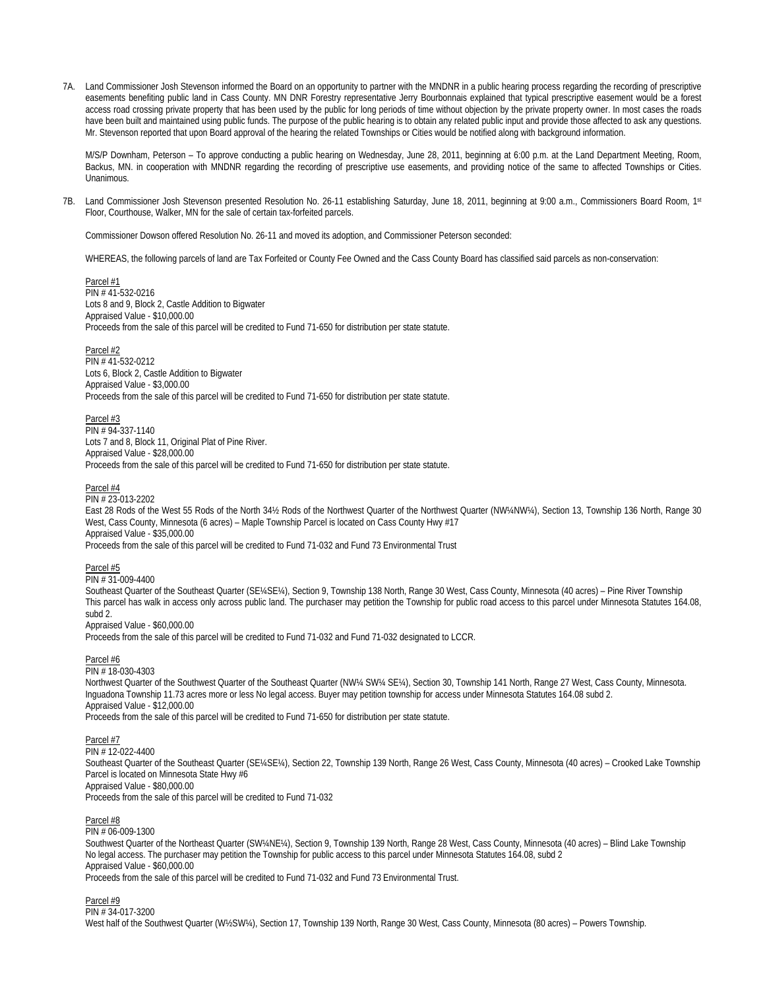7A. Land Commissioner Josh Stevenson informed the Board on an opportunity to partner with the MNDNR in a public hearing process regarding the recording of prescriptive easements benefiting public land in Cass County. MN DNR Forestry representative Jerry Bourbonnais explained that typical prescriptive easement would be a forest access road crossing private property that has been used by the public for long periods of time without objection by the private property owner. In most cases the roads have been built and maintained using public funds. The purpose of the public hearing is to obtain any related public input and provide those affected to ask any questions. Mr. Stevenson reported that upon Board approval of the hearing the related Townships or Cities would be notified along with background information.

M/S/P Downham, Peterson – To approve conducting a public hearing on Wednesday, June 28, 2011, beginning at 6:00 p.m. at the Land Department Meeting, Room, Backus, MN. in cooperation with MNDNR regarding the recording of prescriptive use easements, and providing notice of the same to affected Townships or Cities. Unanimous.

7B. Land Commissioner Josh Stevenson presented Resolution No. 26-11 establishing Saturday, June 18, 2011, beginning at 9:00 a.m., Commissioners Board Room, 1st Floor, Courthouse, Walker, MN for the sale of certain tax-forfeited parcels.

Commissioner Dowson offered Resolution No. 26-11 and moved its adoption, and Commissioner Peterson seconded:

WHEREAS, the following parcels of land are Tax Forfeited or County Fee Owned and the Cass County Board has classified said parcels as non-conservation:

Parcel #1 PIN # 41-532-0216 Lots 8 and 9, Block 2, Castle Addition to Bigwater Appraised Value - \$10,000.00 Proceeds from the sale of this parcel will be credited to Fund 71-650 for distribution per state statute.

Parcel #2 PIN # 41-532-0212 Lots 6, Block 2, Castle Addition to Bigwater Appraised Value - \$3,000.00 Proceeds from the sale of this parcel will be credited to Fund 71-650 for distribution per state statute.

# Parcel #3

 PIN # 94-337-1140 Lots 7 and 8, Block 11, Original Plat of Pine River. Appraised Value - \$28,000.00 Proceeds from the sale of this parcel will be credited to Fund 71-650 for distribution per state statute.

Parcel #4

 $PIN \# 23.013.2202$ East 28 Rods of the West 55 Rods of the North 34½ Rods of the Northwest Quarter of the Northwest Quarter (NW¼NW¼), Section 13, Township 136 North, Range 30 West, Cass County, Minnesota (6 acres) – Maple Township Parcel is located on Cass County Hwy #17 Appraised Value - \$35,000.00

Proceeds from the sale of this parcel will be credited to Fund 71-032 and Fund 73 Environmental Trust

## Parcel #5

PIN # 31-009-4400

Southeast Quarter of the Southeast Quarter (SE¼SE¼), Section 9, Township 138 North, Range 30 West, Cass County, Minnesota (40 acres) – Pine River Township This parcel has walk in access only across public land. The purchaser may petition the Township for public road access to this parcel under Minnesota Statutes 164.08, subd 2.

Appraised Value - \$60,000.00

Proceeds from the sale of this parcel will be credited to Fund 71-032 and Fund 71-032 designated to LCCR.

### Parcel #6

PIN # 18-030-4303

Northwest Quarter of the Southwest Quarter of the Southeast Quarter (NW¼ SW¼ SE¼), Section 30, Township 141 North, Range 27 West, Cass County, Minnesota. Inguadona Township 11.73 acres more or less No legal access. Buyer may petition township for access under Minnesota Statutes 164.08 subd 2. Appraised Value - \$12,000.00

Proceeds from the sale of this parcel will be credited to Fund 71-650 for distribution per state statute.

Parcel #7

PIN # 12-022-4400 Southeast Quarter of the Southeast Quarter (SE¼SE¼), Section 22, Township 139 North, Range 26 West, Cass County, Minnesota (40 acres) – Crooked Lake Township Parcel is located on Minnesota State Hwy #6 Appraised Value - \$80,000.00 Proceeds from the sale of this parcel will be credited to Fund 71-032

Parcel #8

PIN # 06-009-1300

Southwest Quarter of the Northeast Quarter (SW¼NE¼), Section 9, Township 139 North, Range 28 West, Cass County, Minnesota (40 acres) – Blind Lake Township No legal access. The purchaser may petition the Township for public access to this parcel under Minnesota Statutes 164.08, subd 2 Appraised Value - \$60,000.00 Proceeds from the sale of this parcel will be credited to Fund 71-032 and Fund 73 Environmental Trust.

Parcel #9

PIN # 34-017-3200 West half of the Southwest Quarter (W½SW¼), Section 17, Township 139 North, Range 30 West, Cass County, Minnesota (80 acres) – Powers Township.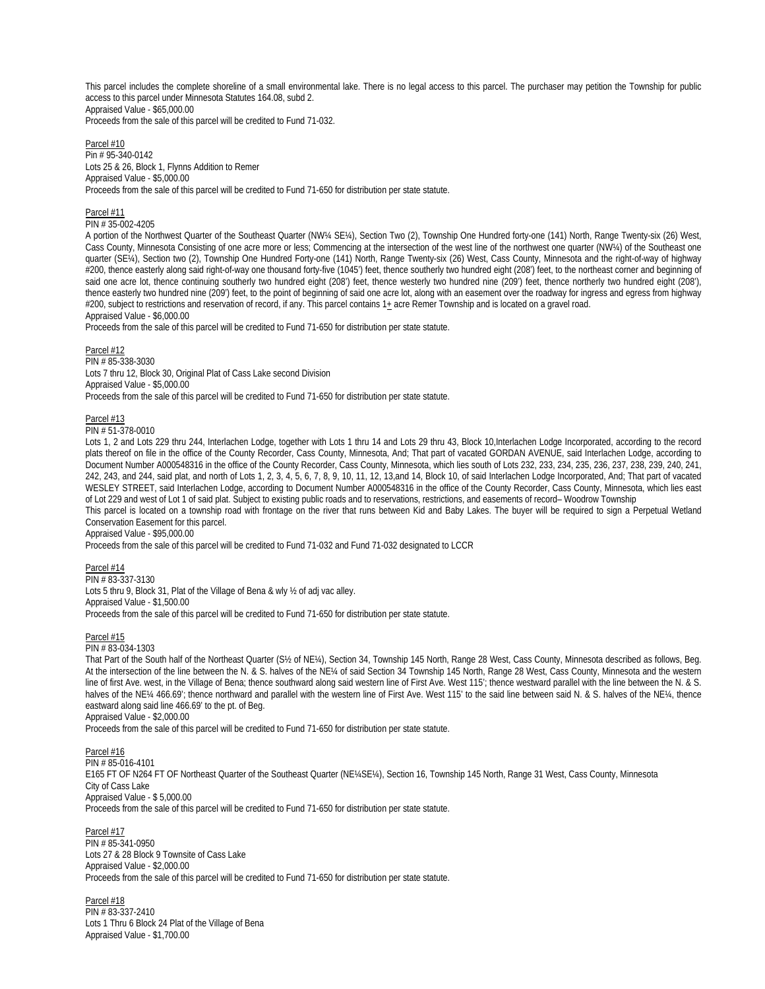This parcel includes the complete shoreline of a small environmental lake. There is no legal access to this parcel. The purchaser may petition the Township for public access to this parcel under Minnesota Statutes 164.08, subd 2. Appraised Value - \$65,000.00

Proceeds from the sale of this parcel will be credited to Fund 71-032.

#### Parcel #10 Pin # 95-340-0142 Lots 25 & 26, Block 1, Flynns Addition to Remer Appraised Value - \$5,000.00 Proceeds from the sale of this parcel will be credited to Fund 71-650 for distribution per state statute.

## Parcel #11

## PIN # 35-002-4205

A portion of the Northwest Quarter of the Southeast Quarter (NW¼ SE¼), Section Two (2), Township One Hundred forty-one (141) North, Range Twenty-six (26) West, Cass County, Minnesota Consisting of one acre more or less; Commencing at the intersection of the west line of the northwest one quarter (NW¼) of the Southeast one quarter (SE¼), Section two (2), Township One Hundred Forty-one (141) North, Range Twenty-six (26) West, Cass County, Minnesota and the right-of-way of highway #200, thence easterly along said right-of-way one thousand forty-five (1045') feet, thence southerly two hundred eight (208') feet, to the northeast corner and beginning of said one acre lot, thence continuing southerly two hundred eight (208') feet, thence westerly two hundred nine (209') feet, thence northerly two hundred eight (208'), thence easterly two hundred nine (209') feet, to the point of beginning of said one acre lot, along with an easement over the roadway for ingress and egress from highway #200, subject to restrictions and reservation of record, if any. This parcel contains  $1<sub>±</sub>$  acre Remer Township and is located on a gravel road. Appraised Value - \$6,000.00

Proceeds from the sale of this parcel will be credited to Fund 71-650 for distribution per state statute.

### Parcel #12

PIN # 85-338-3030 Lots 7 thru 12, Block 30, Original Plat of Cass Lake second Division Appraised Value - \$5,000.00 Proceeds from the sale of this parcel will be credited to Fund 71-650 for distribution per state statute.

## Parcel #13

## PIN # 51-378-0010

Lots 1, 2 and Lots 229 thru 244, Interlachen Lodge, together with Lots 1 thru 14 and Lots 29 thru 43, Block 10,Interlachen Lodge Incorporated, according to the record plats thereof on file in the office of the County Recorder, Cass County, Minnesota, And; That part of vacated GORDAN AVENUE, said Interlachen Lodge, according to Document Number A000548316 in the office of the County Recorder, Cass County, Minnesota, which lies south of Lots 232, 233, 234, 235, 236, 237, 238, 239, 240, 241, 242, 243, and 244, said plat, and north of Lots 1, 2, 3, 4, 5, 6, 7, 8, 9, 10, 11, 12, 13,and 14, Block 10, of said Interlachen Lodge Incorporated, And; That part of vacated WESLEY STREET, said Interlachen Lodge, according to Document Number A000548316 in the office of the County Recorder, Cass County, Minnesota, which lies east of Lot 229 and west of Lot 1 of said plat. Subject to existing public roads and to reservations, restrictions, and easements of record– Woodrow Township This parcel is located on a township road with frontage on the river that runs between Kid and Baby Lakes. The buyer will be required to sign a Perpetual Wetland

Conservation Easement for this parcel.

Appraised Value - \$95,000.00

Proceeds from the sale of this parcel will be credited to Fund 71-032 and Fund 71-032 designated to LCCR

### Parcel #14

PIN # 83-337-3130 Lots 5 thru 9, Block 31, Plat of the Village of Bena & wly ½ of adj vac alley. Appraised Value - \$1,500.00 Proceeds from the sale of this parcel will be credited to Fund 71-650 for distribution per state statute.

### Parcel #15

PIN # 83-034-1303

That Part of the South half of the Northeast Quarter (S½ of NE¼), Section 34, Township 145 North, Range 28 West, Cass County, Minnesota described as follows, Beg. At the intersection of the line between the N. & S. halves of the NE¼ of said Section 34 Township 145 North, Range 28 West, Cass County, Minnesota and the western line of first Ave. west, in the Village of Bena; thence southward along said western line of First Ave. West 115'; thence westward parallel with the line between the N. & S. halves of the NE¼ 466.69'; thence northward and parallel with the western line of First Ave. West 115' to the said line between said N. & S. halves of the NE¼, thence eastward along said line 466.69' to the pt. of Beg.

Appraised Value - \$2,000.00

Proceeds from the sale of this parcel will be credited to Fund 71-650 for distribution per state statute.

Parcel #16

### PIN # 85-016-4101

E165 FT OF N264 FT OF Northeast Quarter of the Southeast Quarter (NE¼SE¼), Section 16, Township 145 North, Range 31 West, Cass County, Minnesota City of Cass Lake Appraised Value - \$ 5,000.00 Proceeds from the sale of this parcel will be credited to Fund 71-650 for distribution per state statute.

Parcel #17 PIN # 85-341-0950 Lots 27 & 28 Block 9 Townsite of Cass Lake Appraised Value - \$2,000.00 Proceeds from the sale of this parcel will be credited to Fund 71-650 for distribution per state statute.

Parcel #18 PIN # 83-337-2410 Lots 1 Thru 6 Block 24 Plat of the Village of Bena Appraised Value - \$1,700.00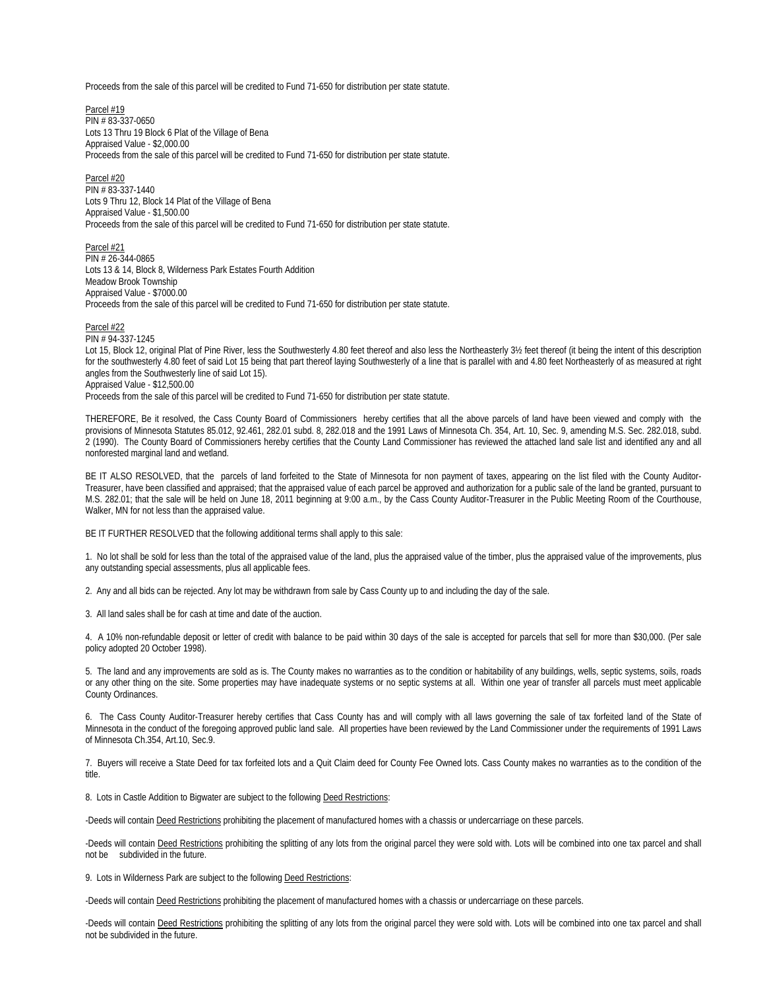Proceeds from the sale of this parcel will be credited to Fund 71-650 for distribution per state statute.

Parcel #19 PIN # 83-337-0650 Lots 13 Thru 19 Block 6 Plat of the Village of Bena Appraised Value - \$2,000.00 Proceeds from the sale of this parcel will be credited to Fund 71-650 for distribution per state statute.

Parcel #20 PIN # 83-337-1440 Lots 9 Thru 12, Block 14 Plat of the Village of Bena Appraised Value - \$1,500.00 Proceeds from the sale of this parcel will be credited to Fund 71-650 for distribution per state statute.

Parcel #21 PIN # 26-344-0865 Lots 13 & 14, Block 8, Wilderness Park Estates Fourth Addition Meadow Brook Township Appraised Value - \$7000.00 Proceeds from the sale of this parcel will be credited to Fund 71-650 for distribution per state statute.

Parcel #22

PIN # 94-337-1245 Lot 15, Block 12, original Plat of Pine River, less the Southwesterly 4.80 feet thereof and also less the Northeasterly 3½ feet thereof (it being the intent of this description for the southwesterly 4.80 feet of said Lot 15 being that part thereof laying Southwesterly of a line that is parallel with and 4.80 feet Northeasterly of as measured at right angles from the Southwesterly line of said Lot 15). Appraised Value - \$12,500.00

Proceeds from the sale of this parcel will be credited to Fund 71-650 for distribution per state statute.

THEREFORE, Be it resolved, the Cass County Board of Commissioners hereby certifies that all the above parcels of land have been viewed and comply with the provisions of Minnesota Statutes 85.012, 92.461, 282.01 subd. 8, 282.018 and the 1991 Laws of Minnesota Ch. 354, Art. 10, Sec. 9, amending M.S. Sec. 282.018, subd. 2 (1990). The County Board of Commissioners hereby certifies that the County Land Commissioner has reviewed the attached land sale list and identified any and all nonforested marginal land and wetland.

BE IT ALSO RESOLVED, that the parcels of land forfeited to the State of Minnesota for non payment of taxes, appearing on the list filed with the County Auditor-Treasurer, have been classified and appraised; that the appraised value of each parcel be approved and authorization for a public sale of the land be granted, pursuant to M.S. 282.01; that the sale will be held on June 18, 2011 beginning at 9:00 a.m., by the Cass County Auditor-Treasurer in the Public Meeting Room of the Courthouse, Walker, MN for not less than the appraised value.

BE IT FURTHER RESOLVED that the following additional terms shall apply to this sale:

1. No lot shall be sold for less than the total of the appraised value of the land, plus the appraised value of the timber, plus the appraised value of the improvements, plus any outstanding special assessments, plus all applicable fees.

2. Any and all bids can be rejected. Any lot may be withdrawn from sale by Cass County up to and including the day of the sale.

3. All land sales shall be for cash at time and date of the auction.

4. A 10% non-refundable deposit or letter of credit with balance to be paid within 30 days of the sale is accepted for parcels that sell for more than \$30,000. (Per sale policy adopted 20 October 1998).

5. The land and any improvements are sold as is. The County makes no warranties as to the condition or habitability of any buildings, wells, septic systems, soils, roads or any other thing on the site. Some properties may have inadequate systems or no septic systems at all. Within one year of transfer all parcels must meet applicable County Ordinances.

6. The Cass County Auditor-Treasurer hereby certifies that Cass County has and will comply with all laws governing the sale of tax forfeited land of the State of Minnesota in the conduct of the foregoing approved public land sale. All properties have been reviewed by the Land Commissioner under the requirements of 1991 Laws of Minnesota Ch.354, Art.10, Sec.9.

7. Buyers will receive a State Deed for tax forfeited lots and a Quit Claim deed for County Fee Owned lots. Cass County makes no warranties as to the condition of the title.

8. Lots in Castle Addition to Bigwater are subject to the following Deed Restrictions:

-Deeds will contain Deed Restrictions prohibiting the placement of manufactured homes with a chassis or undercarriage on these parcels.

-Deeds will contain Deed Restrictions prohibiting the splitting of any lots from the original parcel they were sold with. Lots will be combined into one tax parcel and shall not be subdivided in the future.

9. Lots in Wilderness Park are subject to the following Deed Restrictions:

-Deeds will contain Deed Restrictions prohibiting the placement of manufactured homes with a chassis or undercarriage on these parcels.

-Deeds will contain Deed Restrictions prohibiting the splitting of any lots from the original parcel they were sold with. Lots will be combined into one tax parcel and shall not be subdivided in the future.